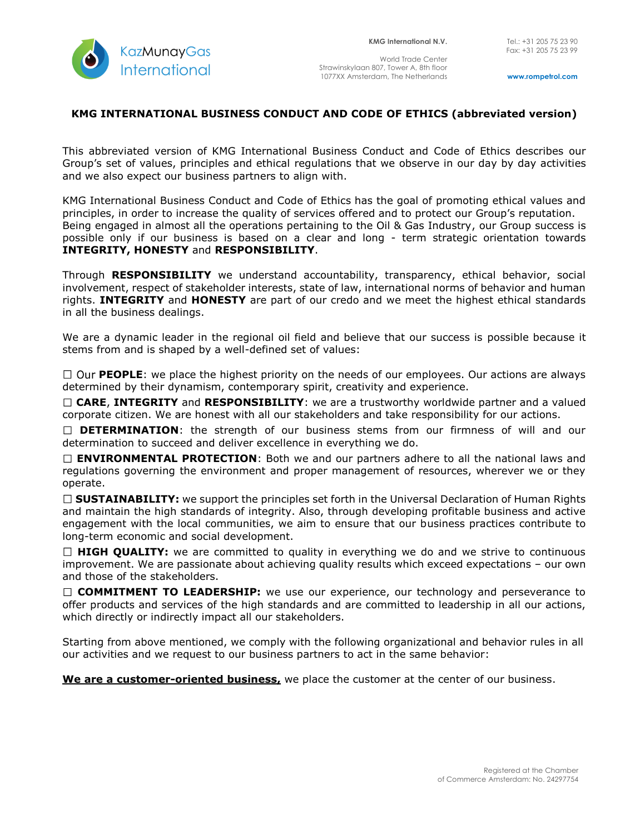

World Trade Center Strawinskylaan 807, Tower A, 8th floor 1077XX Amsterdam, The Netherlands

**www.rompetrol.com**

## **KMG INTERNATIONAL BUSINESS CONDUCT AND CODE OF ETHICS (abbreviated version)**

This abbreviated version of KMG International Business Conduct and Code of Ethics describes our Group's set of values, principles and ethical regulations that we observe in our day by day activities and we also expect our business partners to align with.

KMG International Business Conduct and Code of Ethics has the goal of promoting ethical values and principles, in order to increase the quality of services offered and to protect our Group's reputation. Being engaged in almost all the operations pertaining to the Oil & Gas Industry, our Group success is possible only if our business is based on a clear and long - term strategic orientation towards **INTEGRITY, HONESTY** and **RESPONSIBILITY**.

Through **RESPONSIBILITY** we understand accountability, transparency, ethical behavior, social involvement, respect of stakeholder interests, state of law, international norms of behavior and human rights. **INTEGRITY** and **HONESTY** are part of our credo and we meet the highest ethical standards in all the business dealings.

We are a dynamic leader in the regional oil field and believe that our success is possible because it stems from and is shaped by a well-defined set of values:

 $\Box$  Our **PEOPLE**: we place the highest priority on the needs of our employees. Our actions are always determined by their dynamism, contemporary spirit, creativity and experience.

**CARE**, **INTEGRITY** and **RESPONSIBILITY**: we are a trustworthy worldwide partner and a valued corporate citizen. We are honest with all our stakeholders and take responsibility for our actions.

**DETERMINATION**: the strength of our business stems from our firmness of will and our determination to succeed and deliver excellence in everything we do.

**ENVIRONMENTAL PROTECTION**: Both we and our partners adhere to all the national laws and regulations governing the environment and proper management of resources, wherever we or they operate.

□ **SUSTAINABILITY:** we support the principles set forth in the Universal Declaration of Human Rights and maintain the high standards of integrity. Also, through developing profitable business and active engagement with the local communities, we aim to ensure that our business practices contribute to long-term economic and social development.

□ HIGH QUALITY: we are committed to quality in everything we do and we strive to continuous improvement. We are passionate about achieving quality results which exceed expectations – our own and those of the stakeholders.

□ **COMMITMENT TO LEADERSHIP:** we use our experience, our technology and perseverance to offer products and services of the high standards and are committed to leadership in all our actions, which directly or indirectly impact all our stakeholders.

Starting from above mentioned, we comply with the following organizational and behavior rules in all our activities and we request to our business partners to act in the same behavior:

**We are a customer-oriented business,** we place the customer at the center of our business.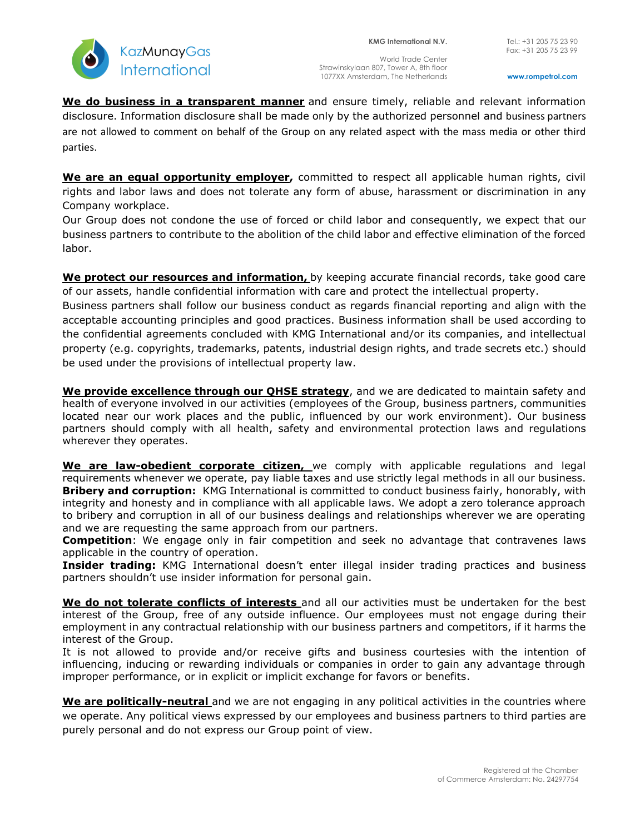

World Trade Center Strawinskylaan 807, Tower A, 8th floor 1077XX Amsterdam, The Netherlands

**We do business in a transparent manner** and ensure timely, reliable and relevant information disclosure. Information disclosure shall be made only by the authorized personnel and business partners are not allowed to comment on behalf of the Group on any related aspect with the mass media or other third parties.

**We are an equal opportunity employer,** committed to respect all applicable human rights, civil rights and labor laws and does not tolerate any form of abuse, harassment or discrimination in any Company workplace.

Our Group does not condone the use of forced or child labor and consequently, we expect that our business partners to contribute to the abolition of the child labor and effective elimination of the forced labor.

**We protect our resources and information,** by keeping accurate financial records, take good care of our assets, handle confidential information with care and protect the intellectual property.

Business partners shall follow our business conduct as regards financial reporting and align with the acceptable accounting principles and good practices. Business information shall be used according to the confidential agreements concluded with KMG International and/or its companies, and intellectual property (e.g. copyrights, trademarks, patents, industrial design rights, and trade secrets etc.) should be used under the provisions of intellectual property law.

**We provide excellence through our QHSE strategy**, and we are dedicated to maintain safety and health of everyone involved in our activities (employees of the Group, business partners, communities located near our work places and the public, influenced by our work environment). Our business partners should comply with all health, safety and environmental protection laws and regulations wherever they operates.

**We are law-obedient corporate citizen,** we comply with applicable regulations and legal requirements whenever we operate, pay liable taxes and use strictly legal methods in all our business. **Bribery and corruption:** KMG International is committed to conduct business fairly, honorably, with integrity and honesty and in compliance with all applicable laws. We adopt a zero tolerance approach to bribery and corruption in all of our business dealings and relationships wherever we are operating and we are requesting the same approach from our partners.

**Competition**: We engage only in fair competition and seek no advantage that contravenes laws applicable in the country of operation.

**Insider trading:** KMG International doesn't enter illegal insider trading practices and business partners shouldn't use insider information for personal gain.

**We do not tolerate conflicts of interests** and all our activities must be undertaken for the best interest of the Group, free of any outside influence. Our employees must not engage during their employment in any contractual relationship with our business partners and competitors, if it harms the interest of the Group.

It is not allowed to provide and/or receive gifts and business courtesies with the intention of influencing, inducing or rewarding individuals or companies in order to gain any advantage through improper performance, or in explicit or implicit exchange for favors or benefits.

**We are politically-neutral** and we are not engaging in any political activities in the countries where we operate. Any political views expressed by our employees and business partners to third parties are purely personal and do not express our Group point of view.